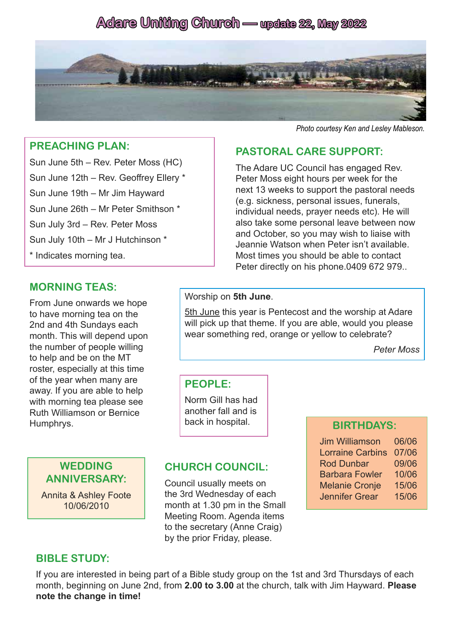# **Adare Uniting Church — update 22, May 2022**



#### **PREACHING PLAN:**

Sun June 5th – Rev. Peter Moss (HC) Sun June 12th – Rev. Geoffrey Ellery \* Sun June 19th – Mr Jim Hayward Sun June 26th – Mr Peter Smithson \* Sun July 3rd – Rev. Peter Moss Sun July 10th – Mr J Hutchinson \* \* Indicates morning tea.

# **MORNING TEAS:**

From June onwards we hope to have morning tea on the 2nd and 4th Sundays each month. This will depend upon the number of people willing to help and be on the MT roster, especially at this time of the year when many are away. If you are able to help with morning tea please see Ruth Williamson or Bernice Humphrys.

> **WEDDING ANNIVERSARY:**

Annita & Ashley Foote 10/06/2010

# Worship on **5th June**.

5th June this year is Pentecost and the worship at Adare will pick up that theme. If you are able, would you please wear something red, orange or yellow to celebrate?

*Peter Moss*

#### **PEOPLE:**

Norm Gill has had another fall and is back in hospital.

## **CHURCH COUNCIL:**

Council usually meets on the 3rd Wednesday of each month at 1.30 pm in the Small Meeting Room. Agenda items to the secretary (Anne Craig) by the prior Friday, please.

#### **BIRTHDAYS:**

Jim Williamson 06/06 Lorraine Carbins 07/06 Rod Dunbar 09/06 Barbara Fowler 10/06 Melanie Cronje 15/06 Jennifer Grear 15/06

### **BIBLE STUDY:**

If you are interested in being part of a Bible study group on the 1st and 3rd Thursdays of each month, beginning on June 2nd, from **2.00 to 3.00** at the church, talk with Jim Hayward. **Please note the change in time!**

#### *Photo courtesy Ken and Lesley Mableson.*

### **PASTORAL CARE SUPPORT:**

The Adare UC Council has engaged Rev. Peter Moss eight hours per week for the next 13 weeks to support the pastoral needs (e.g. sickness, personal issues, funerals, individual needs, prayer needs etc). He will also take some personal leave between now and October, so you may wish to liaise with Jeannie Watson when Peter isn't available. Most times you should be able to contact Peter directly on his phone.0409 672 979..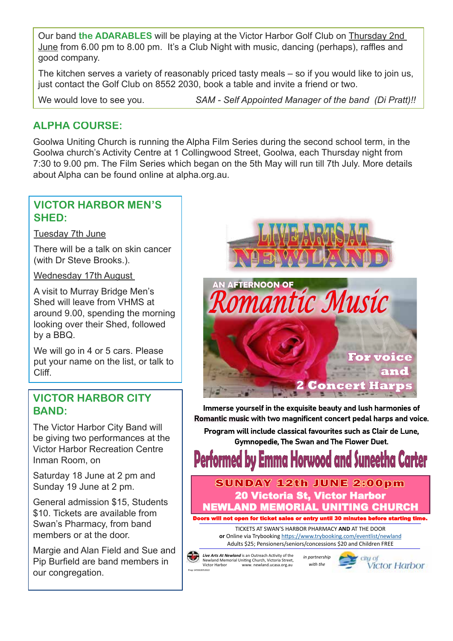Our band **the ADARABLES** will be playing at the Victor Harbor Golf Club on Thursday 2nd June from 6.00 pm to 8.00 pm. It's a Club Night with music, dancing (perhaps), raffles and good company.

The kitchen serves a variety of reasonably priced tasty meals – so if you would like to join us, just contact the Golf Club on 8552 2030, book a table and invite a friend or two.

We would love to see you. **SAM - Self Appointed Manager of the band** (Di Pratt)!!

## **ALPHA COURSE:**

Goolwa Uniting Church is running the Alpha Film Series during the second school term, in the Goolwa church's Activity Centre at 1 Collingwood Street, Goolwa, each Thursday night from 7:30 to 9.00 pm. The Film Series which began on the 5th May will run till 7th July. More details about Alpha can be found online at alpha.org.au.

### **VICTOR HARBOR MEN'S SHED:**

Tuesday 7th June

There will be a talk on skin cancer (with Dr Steve Brooks.).

Wednesday 17th August

A visit to Murray Bridge Men's Shed will leave from VHMS at around 9.00, spending the morning looking over their Shed, followed by a BBQ.

We will go in 4 or 5 cars. Please put your name on the list, or talk to Cliff.

## **VICTOR HARBOR CITY BAND:**

The Victor Harbor City Band will be giving two performances at the Victor Harbor Recreation Centre Inman Room, on

Saturday 18 June at 2 pm and Sunday 19 June at 2 pm.

General admission \$15, Students \$10. Tickets are available from Swan's Pharmacy, from band members or at the door.

Margie and Alan Field and Sue and Pip Burfield are band members in our congregation.



Immerse yourself in the exquisite beauty and lush harmonies of Romantic music with two magnificent concert pedal harps and voice.

Program will include classical favourites such as Clair de Lune. **Gymnopedie. The Swan and The Flower Duet.** 

rwood and Su

**SUNDAY 12th JUNE 2:00pm** 20 Victoria St, Victor Harbor NEWLAND MEMORIAL UNITING CHURCH Doors will not open for ticket sales or entry until 30 minutes before starting time.

TICKETS AT SWAN'S HARBOR PHARMACY **AND** AT THE DOOR **or** Online via Trybooking https://www.trybooking.com/eventlist/newland Adults \$25; Pensioners/seniors/concessions \$20 and Children FREE

*Live Arts At Newland* is an Outreach Activity of the Newland Memorial Uniting Church, Victoria Street, Victor Harbor www. newland.ucasa.org.au

Prep 145502052022

 *in partnership with the*